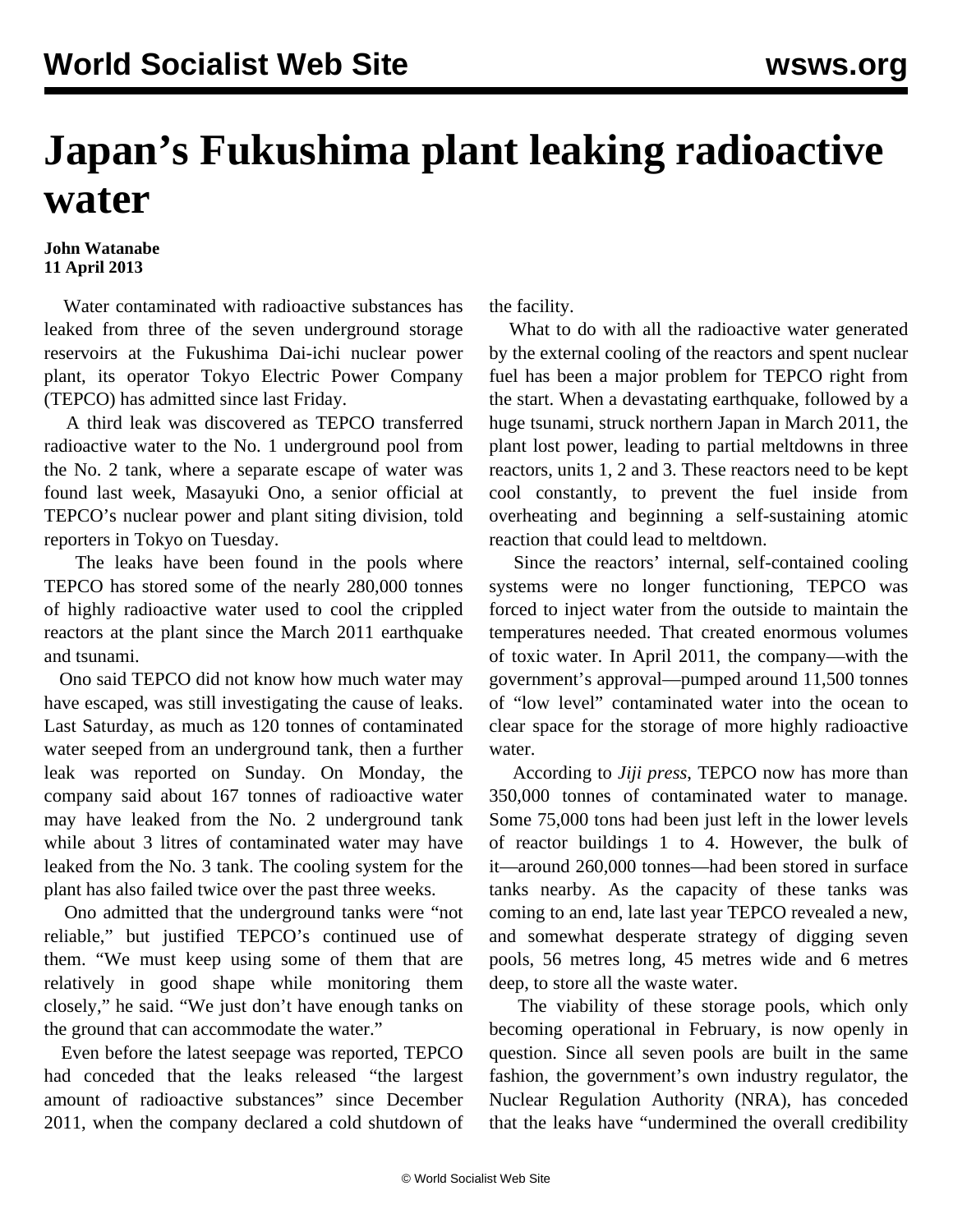## **Japan's Fukushima plant leaking radioactive water**

## **John Watanabe 11 April 2013**

 Water contaminated with radioactive substances has leaked from three of the seven underground storage reservoirs at the Fukushima Dai-ichi nuclear power plant, its operator Tokyo Electric Power Company (TEPCO) has admitted since last Friday.

 A third leak was discovered as TEPCO transferred radioactive water to the No. 1 underground pool from the No. 2 tank, where a separate escape of water was found last week, Masayuki Ono, a senior official at TEPCO's nuclear power and plant siting division, told reporters in Tokyo on Tuesday.

 The leaks have been found in the pools where TEPCO has stored some of the nearly 280,000 tonnes of highly radioactive water used to cool the crippled reactors at the plant since the March 2011 earthquake and tsunami.

 Ono said TEPCO did not know how much water may have escaped, was still investigating the cause of leaks. Last Saturday, as much as 120 tonnes of contaminated water seeped from an underground tank, then a further leak was reported on Sunday. On Monday, the company said about 167 tonnes of radioactive water may have leaked from the No. 2 underground tank while about 3 litres of contaminated water may have leaked from the No. 3 tank. The cooling system for the plant has also failed twice over the past three weeks.

 Ono admitted that the underground tanks were "not reliable," but justified TEPCO's continued use of them. "We must keep using some of them that are relatively in good shape while monitoring them closely," he said. "We just don't have enough tanks on the ground that can accommodate the water."

 Even before the latest seepage was reported, TEPCO had conceded that the leaks released "the largest amount of radioactive substances" since December 2011, when the company declared a cold shutdown of the facility.

 What to do with all the radioactive water generated by the external cooling of the reactors and spent nuclear fuel has been a major problem for TEPCO right from the start. When a devastating earthquake, followed by a huge tsunami, struck northern Japan in March 2011, the plant lost power, leading to partial meltdowns in three reactors, units 1, 2 and 3. These reactors need to be kept cool constantly, to prevent the fuel inside from overheating and beginning a self-sustaining atomic reaction that could lead to meltdown.

 Since the reactors' internal, self-contained cooling systems were no longer functioning, TEPCO was forced to inject water from the outside to maintain the temperatures needed. That created enormous volumes of toxic water. In April 2011, the company—with the government's approval—pumped around 11,500 tonnes of "low level" contaminated water into the ocean to clear space for the storage of more highly radioactive water.

 According to *Jiji press*, TEPCO now has more than 350,000 tonnes of contaminated water to manage. Some 75,000 tons had been just left in the lower levels of reactor buildings 1 to 4. However, the bulk of it—around 260,000 tonnes—had been stored in surface tanks nearby. As the capacity of these tanks was coming to an end, late last year TEPCO revealed a new, and somewhat desperate strategy of digging seven pools, 56 metres long, 45 metres wide and 6 metres deep, to store all the waste water.

 The viability of these storage pools, which only becoming operational in February, is now openly in question. Since all seven pools are built in the same fashion, the government's own industry regulator, the Nuclear Regulation Authority (NRA), has conceded that the leaks have "undermined the overall credibility